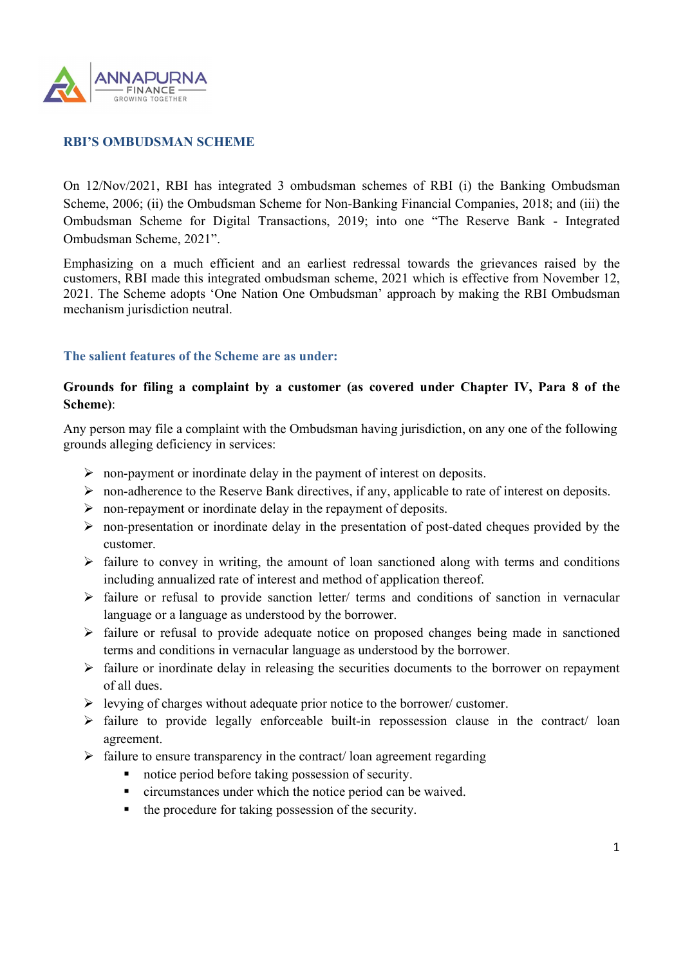

## RBI'S OMBUDSMAN SCHEME

On 12/Nov/2021, RBI has integrated 3 ombudsman schemes of RBI (i) the Banking Ombudsman Scheme, 2006; (ii) the Ombudsman Scheme for Non-Banking Financial Companies, 2018; and (iii) the Ombudsman Scheme for Digital Transactions, 2019; into one "The Reserve Bank - Integrated Ombudsman Scheme, 2021".

Emphasizing on a much efficient and an earliest redressal towards the grievances raised by the customers, RBI made this integrated ombudsman scheme, 2021 which is effective from November 12, 2021. The Scheme adopts 'One Nation One Ombudsman' approach by making the RBI Ombudsman mechanism jurisdiction neutral.

### The salient features of the Scheme are as under:

## Grounds for filing a complaint by a customer (as covered under Chapter IV, Para 8 of the Scheme):

Any person may file a complaint with the Ombudsman having jurisdiction, on any one of the following grounds alleging deficiency in services:

- $\triangleright$  non-payment or inordinate delay in the payment of interest on deposits.
- $\triangleright$  non-adherence to the Reserve Bank directives, if any, applicable to rate of interest on deposits.
- $\triangleright$  non-repayment or inordinate delay in the repayment of deposits.
- $\triangleright$  non-presentation or inordinate delay in the presentation of post-dated cheques provided by the customer.
- $\triangleright$  failure to convey in writing, the amount of loan sanctioned along with terms and conditions including annualized rate of interest and method of application thereof.
- $\triangleright$  failure or refusal to provide sanction letter/ terms and conditions of sanction in vernacular language or a language as understood by the borrower.
- $\triangleright$  failure or refusal to provide adequate notice on proposed changes being made in sanctioned terms and conditions in vernacular language as understood by the borrower.
- $\triangleright$  failure or inordinate delay in releasing the securities documents to the borrower on repayment of all dues.
- $\triangleright$  levying of charges without adequate prior notice to the borrower/ customer.
- $\triangleright$  failure to provide legally enforceable built-in repossession clause in the contract/ loan agreement.
- $\triangleright$  failure to ensure transparency in the contract/ loan agreement regarding
	- notice period before taking possession of security.
	- circumstances under which the notice period can be waived.
	- $\blacksquare$  the procedure for taking possession of the security.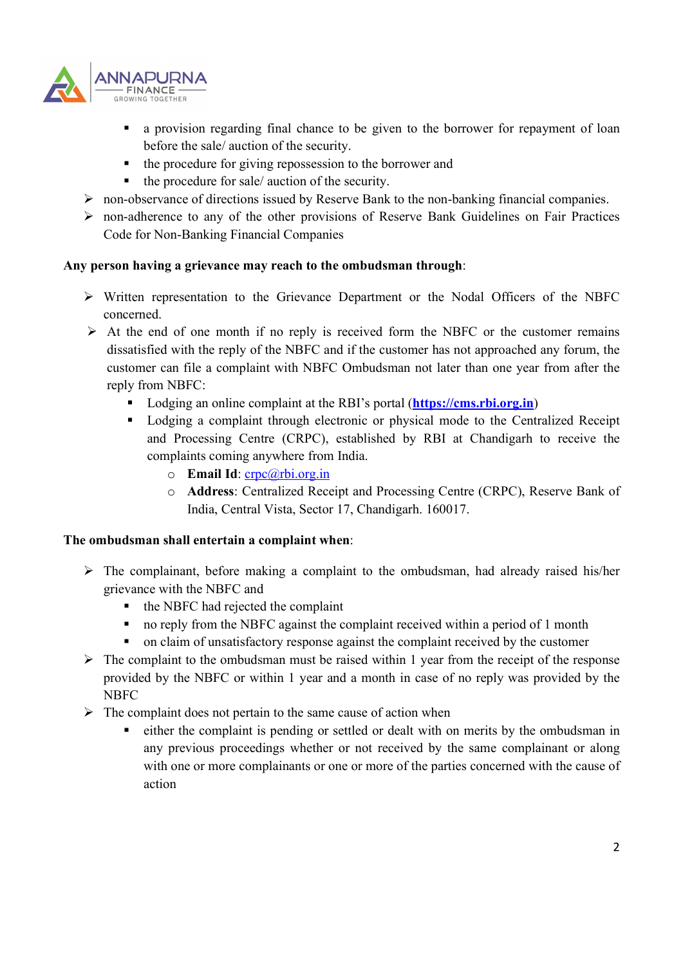

- a provision regarding final chance to be given to the borrower for repayment of loan before the sale/ auction of the security.
- the procedure for giving repossession to the borrower and
- the procedure for sale/ auction of the security.
- non-observance of directions issued by Reserve Bank to the non-banking financial companies.
- non-adherence to any of the other provisions of Reserve Bank Guidelines on Fair Practices Code for Non-Banking Financial Companies

## Any person having a grievance may reach to the ombudsman through:

- Written representation to the Grievance Department or the Nodal Officers of the NBFC concerned.
- $\triangleright$  At the end of one month if no reply is received form the NBFC or the customer remains dissatisfied with the reply of the NBFC and if the customer has not approached any forum, the customer can file a complaint with NBFC Ombudsman not later than one year from after the reply from NBFC:
	- Lodging an online complaint at the RBI's portal (**https://cms.rbi.org.in**)
	- Lodging a complaint through electronic or physical mode to the Centralized Receipt and Processing Centre (CRPC), established by RBI at Chandigarh to receive the complaints coming anywhere from India.
		- $\circ$  Email Id: crpc@rbi.org.in
		- o Address: Centralized Receipt and Processing Centre (CRPC), Reserve Bank of India, Central Vista, Sector 17, Chandigarh. 160017.

### The ombudsman shall entertain a complaint when:

- $\triangleright$  The complainant, before making a complaint to the ombudsman, had already raised his/her grievance with the NBFC and
	- $\blacksquare$  the NBFC had rejected the complaint
	- no reply from the NBFC against the complaint received within a period of 1 month
	- on claim of unsatisfactory response against the complaint received by the customer
- $\triangleright$  The complaint to the ombudsman must be raised within 1 year from the receipt of the response provided by the NBFC or within 1 year and a month in case of no reply was provided by the NBFC
- $\triangleright$  The complaint does not pertain to the same cause of action when
	- either the complaint is pending or settled or dealt with on merits by the ombudsman in any previous proceedings whether or not received by the same complainant or along with one or more complainants or one or more of the parties concerned with the cause of action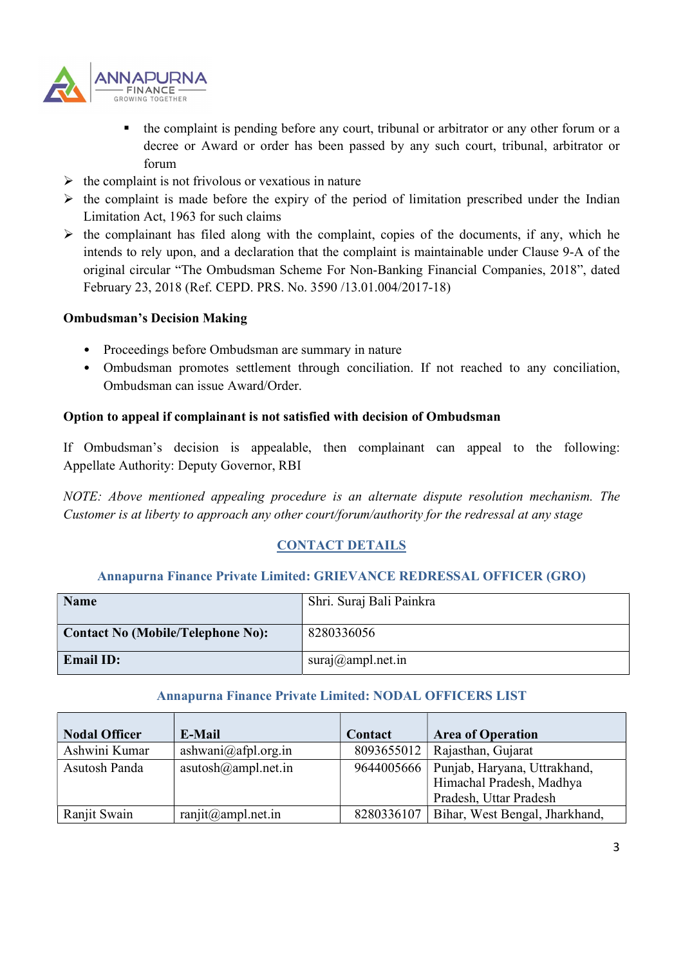

- the complaint is pending before any court, tribunal or arbitrator or any other forum or a decree or Award or order has been passed by any such court, tribunal, arbitrator or forum
- $\triangleright$  the complaint is not frivolous or vexatious in nature
- $\triangleright$  the complaint is made before the expiry of the period of limitation prescribed under the Indian Limitation Act, 1963 for such claims
- $\triangleright$  the complainant has filed along with the complaint, copies of the documents, if any, which he intends to rely upon, and a declaration that the complaint is maintainable under Clause 9-A of the original circular "The Ombudsman Scheme For Non-Banking Financial Companies, 2018", dated February 23, 2018 (Ref. CEPD. PRS. No. 3590 /13.01.004/2017-18)

### Ombudsman's Decision Making

- Proceedings before Ombudsman are summary in nature
- Ombudsman promotes settlement through conciliation. If not reached to any conciliation, Ombudsman can issue Award/Order.

## Option to appeal if complainant is not satisfied with decision of Ombudsman

If Ombudsman's decision is appealable, then complainant can appeal to the following: Appellate Authority: Deputy Governor, RBI

NOTE: Above mentioned appealing procedure is an alternate dispute resolution mechanism. The Customer is at liberty to approach any other court/forum/authority for the redressal at any stage

# CONTACT DETAILS

### Annapurna Finance Private Limited: GRIEVANCE REDRESSAL OFFICER (GRO)

| <b>Name</b>                              | Shri. Suraj Bali Painkra |
|------------------------------------------|--------------------------|
| <b>Contact No (Mobile/Telephone No):</b> | 8280336056               |
| <b>Email ID:</b>                         | suraj@ampl.net.in        |

### Annapurna Finance Private Limited: NODAL OFFICERS LIST

| <b>Nodal Officer</b> | E-Mail                       | Contact    | <b>Area of Operation</b>                  |
|----------------------|------------------------------|------------|-------------------------------------------|
| Ashwini Kumar        | ashwani@afpl.org.in          |            | 8093655012   Rajasthan, Gujarat           |
| Asutosh Panda        | $a$ sutosh $(a)$ ampl.net.in |            | 9644005666   Punjab, Haryana, Uttrakhand, |
|                      |                              |            | Himachal Pradesh, Madhya                  |
|                      |                              |            | Pradesh, Uttar Pradesh                    |
| Ranjit Swain         | $ranjit(\omega$ ampl.net.in  | 8280336107 | Bihar, West Bengal, Jharkhand,            |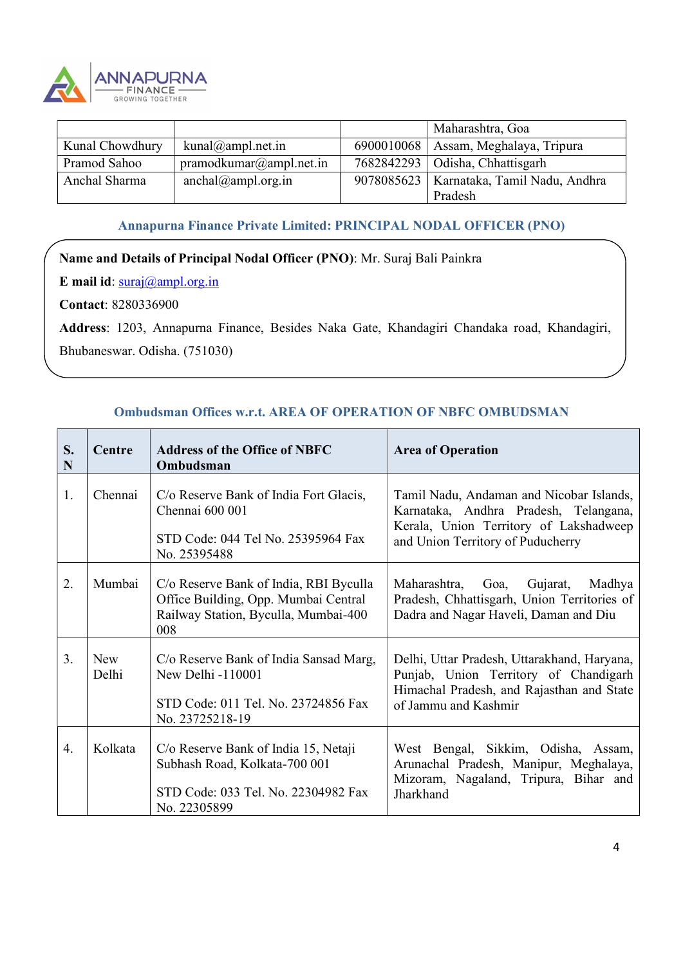

|                 |                         |            | Maharashtra, Goa                           |
|-----------------|-------------------------|------------|--------------------------------------------|
| Kunal Chowdhury | kunal@ampl.net.in       | 6900010068 | Assam, Meghalaya, Tripura                  |
| Pramod Sahoo    | pramodkumar@ampl.net.in |            | 7682842293   Odisha, Chhattisgarh          |
| Anchal Sharma   | anchal@ampl.org.in      |            | 9078085623   Karnataka, Tamil Nadu, Andhra |
|                 |                         |            | Pradesh                                    |

# Annapurna Finance Private Limited: PRINCIPAL NODAL OFFICER (PNO)

## Name and Details of Principal Nodal Officer (PNO): Mr. Suraj Bali Painkra

E mail id:  $\frac{\text{suraj}(a)}{\text{ampl.} \text{org.in}}$ 

Contact: 8280336900

Address: 1203, Annapurna Finance, Besides Naka Gate, Khandagiri Chandaka road, Khandagiri, Bhubaneswar. Odisha. (751030)

#### S. Centre N 0 Address of the Office of NBFC Ombudsman Area of Operation 1. Chennai  $\int C/\sigma$  Reserve Bank of India Fort Glacis, Chennai 600 001 STD Code: 044 Tel No. 25395964 Fax No. 25395488 Tamil Nadu, Andaman and Nicobar Islands, Karnataka, Andhra Pradesh, Telangana, Kerala, Union Territory of Lakshadweep and Union Territory of Puducherry 2. | Mumbai | C/o Reserve Bank of India, RBI Byculla Office Building, Opp. Mumbai Central Railway Station, Byculla, Mumbai-400 008 Maharashtra, Goa, Gujarat, Madhya Pradesh, Chhattisgarh, Union Territories of Dadra and Nagar Haveli, Daman and Diu 3. New C/o Reserve Bank of India Sansad Marg, Delhi, Uttar P Delhi New Delhi -110001 STD Code: 011 Tel. No. 23724856 Fax No. 23725218-19 Delhi, Uttar Pradesh, Uttarakhand, Haryana, Punjab, Union Territory of Chandigarh Himachal Pradesh, and Rajasthan and State of Jammu and Kashmir 4. Kolkata | C/o Reserve Bank of India 15, Netaji Subhash Road, Kolkata-700 001 STD Code: 033 Tel. No. 22304982 Fax No. 22305899 West Bengal, Sikkim, Odisha, Assam, Arunachal Pradesh, Manipur, Meghalaya, Mizoram, Nagaland, Tripura, Bihar and Jharkhand

# Ombudsman Offices w.r.t. AREA OF OPERATION OF NBFC OMBUDSMAN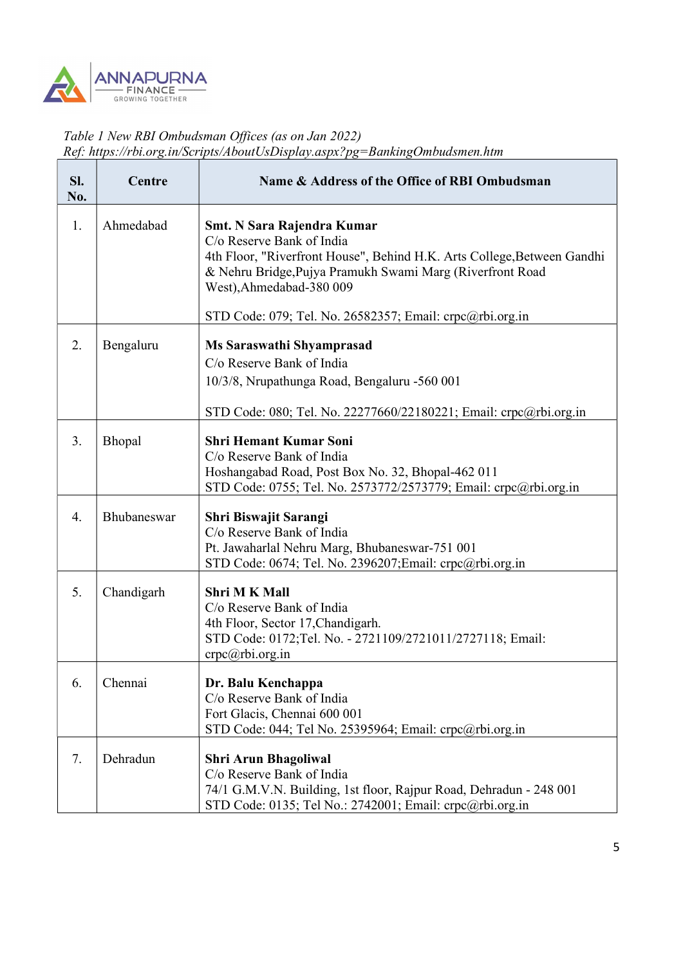

# Table 1 New RBI Ombudsman Offices (as on Jan 2022) Ref: https://rbi.org.in/Scripts/AboutUsDisplay.aspx?pg=BankingOmbudsmen.htm

| SI.<br>No. | Centre      | Name & Address of the Office of RBI Ombudsman                                                                                                                                                                                      |
|------------|-------------|------------------------------------------------------------------------------------------------------------------------------------------------------------------------------------------------------------------------------------|
| 1.         | Ahmedabad   | <b>Smt. N Sara Rajendra Kumar</b><br>C/o Reserve Bank of India<br>4th Floor, "Riverfront House", Behind H.K. Arts College, Between Gandhi<br>& Nehru Bridge, Pujya Pramukh Swami Marg (Riverfront Road<br>West), Ahmedabad-380 009 |
|            |             | STD Code: 079; Tel. No. 26582357; Email: crpc@rbi.org.in                                                                                                                                                                           |
| 2.         | Bengaluru   | Ms Saraswathi Shyamprasad<br>C/o Reserve Bank of India<br>10/3/8, Nrupathunga Road, Bengaluru -560 001<br>STD Code: 080; Tel. No. 22277660/22180221; Email: crpc@rbi.org.in                                                        |
| 3.         | Bhopal      | <b>Shri Hemant Kumar Soni</b><br>C/o Reserve Bank of India<br>Hoshangabad Road, Post Box No. 32, Bhopal-462 011<br>STD Code: 0755; Tel. No. 2573772/2573779; Email: crpc@rbi.org.in                                                |
| 4.         | Bhubaneswar | Shri Biswajit Sarangi<br>C/o Reserve Bank of India<br>Pt. Jawaharlal Nehru Marg, Bhubaneswar-751 001<br>STD Code: 0674; Tel. No. 2396207; Email: crpc@rbi.org.in                                                                   |
| 5.         | Chandigarh  | Shri M K Mall<br>C/o Reserve Bank of India<br>4th Floor, Sector 17, Chandigarh.<br>STD Code: 0172;Tel. No. - 2721109/2721011/2727118; Email:<br>crpc@rbi.org.in                                                                    |
| 6.         | Chennai     | Dr. Balu Kenchappa<br>C/o Reserve Bank of India<br>Fort Glacis, Chennai 600 001<br>STD Code: 044; Tel No. 25395964; Email: crpc@rbi.org.in                                                                                         |
| 7.         | Dehradun    | <b>Shri Arun Bhagoliwal</b><br>C/o Reserve Bank of India<br>74/1 G.M.V.N. Building, 1st floor, Rajpur Road, Dehradun - 248 001<br>STD Code: 0135; Tel No.: 2742001; Email: crpc@rbi.org.in                                         |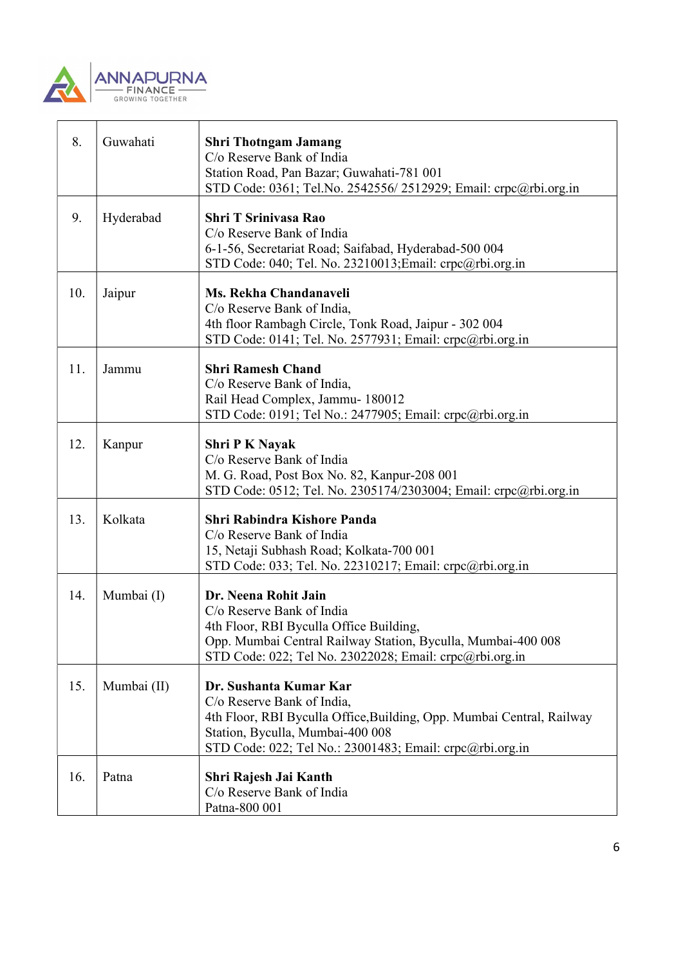

| 8.  | Guwahati    | <b>Shri Thotngam Jamang</b><br>C/o Reserve Bank of India<br>Station Road, Pan Bazar; Guwahati-781 001<br>STD Code: 0361; Tel.No. 2542556/2512929; Email: crpc@rbi.org.in                                                      |  |
|-----|-------------|-------------------------------------------------------------------------------------------------------------------------------------------------------------------------------------------------------------------------------|--|
| 9.  | Hyderabad   | <b>Shri T Srinivasa Rao</b><br>C/o Reserve Bank of India<br>6-1-56, Secretariat Road; Saifabad, Hyderabad-500 004<br>STD Code: 040; Tel. No. 23210013; Email: crpc@rbi.org.in                                                 |  |
| 10. | Jaipur      | Ms. Rekha Chandanaveli<br>C/o Reserve Bank of India,<br>4th floor Rambagh Circle, Tonk Road, Jaipur - 302 004<br>STD Code: 0141; Tel. No. 2577931; Email: crpc@rbi.org.in                                                     |  |
| 11. | Jammu       | <b>Shri Ramesh Chand</b><br>C/o Reserve Bank of India,<br>Rail Head Complex, Jammu- 180012<br>STD Code: 0191; Tel No.: 2477905; Email: crpc@rbi.org.in                                                                        |  |
| 12. | Kanpur      | <b>Shri P K Nayak</b><br>C/o Reserve Bank of India<br>M. G. Road, Post Box No. 82, Kanpur-208 001<br>STD Code: 0512; Tel. No. 2305174/2303004; Email: crpc@rbi.org.in                                                         |  |
| 13. | Kolkata     | <b>Shri Rabindra Kishore Panda</b><br>C/o Reserve Bank of India<br>15, Netaji Subhash Road; Kolkata-700 001<br>STD Code: 033; Tel. No. 22310217; Email: crpc@rbi.org.in                                                       |  |
| 14. | Mumbai (I)  | Dr. Neena Rohit Jain<br>C/o Reserve Bank of India<br>4th Floor, RBI Byculla Office Building,<br>Opp. Mumbai Central Railway Station, Byculla, Mumbai-400 008<br>STD Code: 022; Tel No. 23022028; Email: crpc@rbi.org.in       |  |
| 15. | Mumbai (II) | Dr. Sushanta Kumar Kar<br>C/o Reserve Bank of India,<br>4th Floor, RBI Byculla Office, Building, Opp. Mumbai Central, Railway<br>Station, Byculla, Mumbai-400 008<br>STD Code: 022; Tel No.: 23001483; Email: crpc@rbi.org.in |  |
| 16. | Patna       | Shri Rajesh Jai Kanth<br>C/o Reserve Bank of India<br>Patna-800 001                                                                                                                                                           |  |